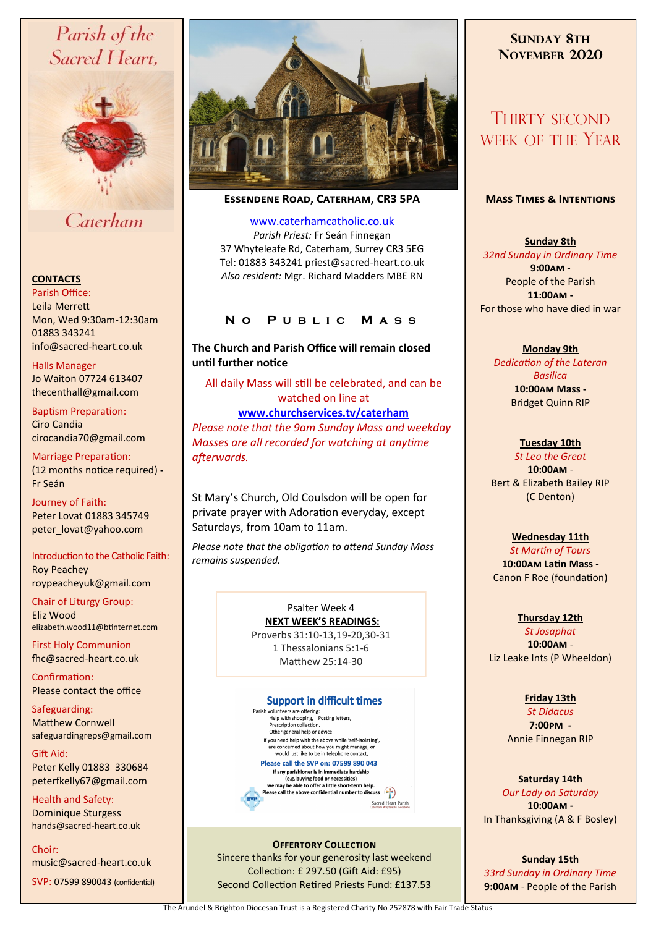# Parish of the Sacred Heart,



Caterham

#### **CONTACTS**

Parish Office: Leila Merrett Mon, Wed 9:30am-12:30am 01883 343241 info@sacred-heart.co.uk .

Halls Manager Jo Waiton 07724 613407 thecenthall@gmail.com

Baptism Preparation: Ciro Candia cirocandia70@gmail.com

Marriage Preparation: (12 months notice required) **-** Fr Seán

Journey of Faith: Peter Lovat 01883 345749 peter\_lovat@yahoo.com

Introduction to the Catholic Faith: Roy Peachey roypeacheyuk@gmail.com

Chair of Liturgy Group: Eliz Wood

elizabeth.wood11@btinternet.com First Holy Communion

fhc@sacred-heart.co.uk Confirmation:

Please contact the office

Safeguarding: Matthew Cornwell safeguardingreps@gmail.com

Gift Aid: Peter Kelly 01883 330684 peterfkelly67@gmail.com

Health and Safety: Dominique Sturgess hands@sacred-heart.co.uk

Choir:

music@sacred-heart.co.uk

SVP: 07599 890043 (confidential)



**Essendene Road, Caterham, CR3 5PA**

[www.caterhamcatholic.co.uk](http://Www.caterhamcatholic.co.uk) *Parish Priest:* Fr Seán Finnegan 37 Whyteleafe Rd, Caterham, Surrey CR3 5EG Tel: 01883 343241 priest@sacred-heart.co.uk *Also resident:* Mgr. Richard Madders MBE RN

## **N o P u b l i c M a s s**

**The Church and Parish Office will remain closed until further notice**

All daily Mass will still be celebrated, and can be watched on line at **[www.churchservices.tv/caterham](http://www.churchservices.tv/caterham)**  *Please note that the 9am Sunday Mass and weekday Masses are all recorded for watching at anytime afterwards.*

St Mary's Church, Old Coulsdon will be open for private prayer with Adoration everyday, except Saturdays, from 10am to 11am.

*Please note that the obligation to attend Sunday Mass remains suspended.*

#### Psalter Week 4 **NEXT WEEK'S READINGS:**

Proverbs 31:10-13,19-20,30-31 1 Thessalonians 5:1-6 Matthew 25:14-30

#### **Support in difficult times**

Parish volunteers are offering:<br>
Help with shopping, Posting letters,<br>
Prescription collection, Other general help or advice If you need help with the above while 'self-isolating'. e concerned about how you might manage, or<br>would just like to be in telephone contact, Please call the SVP on: 07599 890 043 If any parishioner is in immediate hardship<br>
(e.g. buying food or necessities)<br>
we may be able to offer a little short-term help. Please call the above confidential number to discuss

Sacred Heart Parish

**OFFERTORY COLLECTION** Sincere thanks for your generosity last weekend Collection: £ 297.50 (Gift Aid: £95) Second Collection Retired Priests Fund: £137.53

## **SUNDAY 8TH NOVEMBER 2020**

## THIRTY SECOND WEEK OF THE YEAR

#### **Mass Times & Intentions**

**Sunday 8th**  *32nd Sunday in Ordinary Time* **9:00am** - People of the Parish **11:00am -** For those who have died in war

**Monday 9th**  *Dedication of the Lateran Basilica* **10:00am Mass -** Bridget Quinn RIP

#### **Tuesday 10th**

*St Leo the Great* **10:00am** - Bert & Elizabeth Bailey RIP (C Denton)

#### **Wednesday 11th**

*St Martin of Tours* **10:00am Latin Mass -** Canon F Roe (foundation)

#### **Thursday 12th**

*St Josaphat* **10:00am** - Liz Leake Ints (P Wheeldon)

#### **Friday 13th**

*St Didacus* **7:00pm -** Annie Finnegan RIP

#### **Saturday 14th**

*Our Lady on Saturday* **10:00am -**  In Thanksgiving (A & F Bosley)

**Sunday 15th**  *33rd Sunday in Ordinary Time* **9:00am** - People of the Parish

The Arundel & Brighton Diocesan Trust is a Registered Charity No 252878 with Fair Trade Status